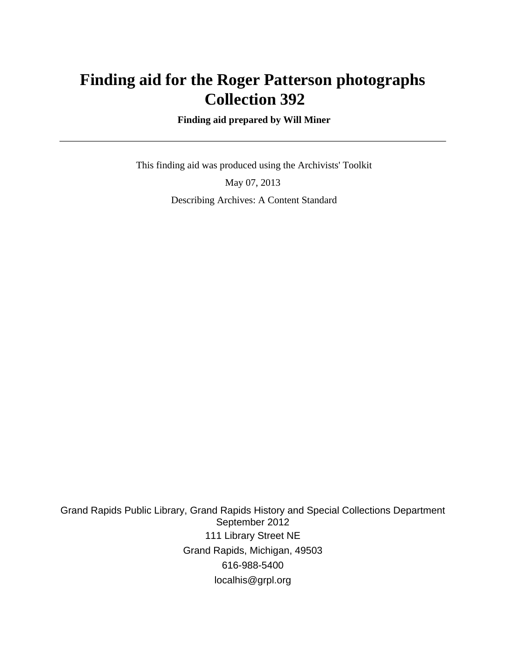# **Finding aid for the Roger Patterson photographs Collection 392**

 **Finding aid prepared by Will Miner**

 This finding aid was produced using the Archivists' Toolkit May 07, 2013 Describing Archives: A Content Standard

Grand Rapids Public Library, Grand Rapids History and Special Collections Department September 2012 111 Library Street NE Grand Rapids, Michigan, 49503 616-988-5400 localhis@grpl.org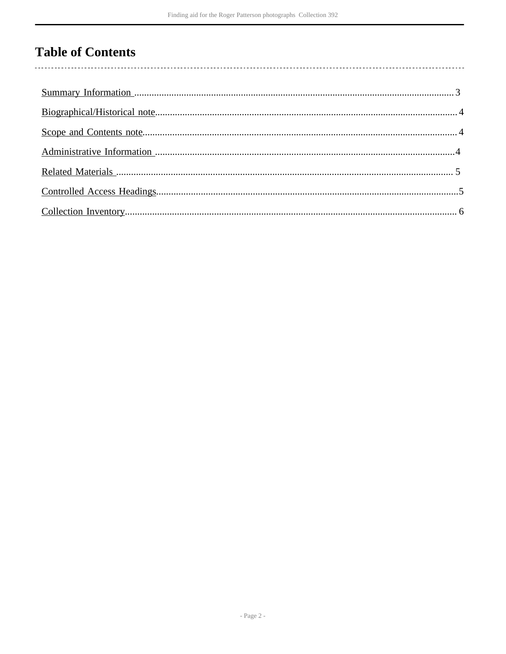# **Table of Contents**

 $\overline{\phantom{a}}$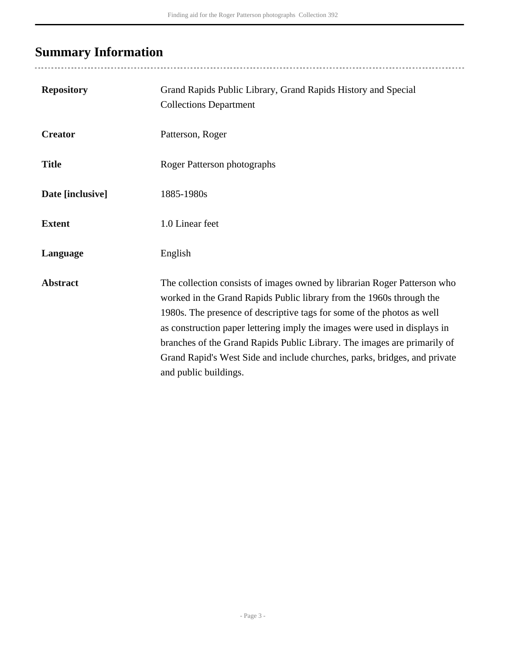# <span id="page-2-0"></span>**Summary Information**

| <b>Repository</b> | Grand Rapids Public Library, Grand Rapids History and Special<br><b>Collections Department</b>                                                                                                                                                                                                                                                                                                                                                                                            |
|-------------------|-------------------------------------------------------------------------------------------------------------------------------------------------------------------------------------------------------------------------------------------------------------------------------------------------------------------------------------------------------------------------------------------------------------------------------------------------------------------------------------------|
| <b>Creator</b>    | Patterson, Roger                                                                                                                                                                                                                                                                                                                                                                                                                                                                          |
| <b>Title</b>      | Roger Patterson photographs                                                                                                                                                                                                                                                                                                                                                                                                                                                               |
| Date [inclusive]  | 1885-1980s                                                                                                                                                                                                                                                                                                                                                                                                                                                                                |
| <b>Extent</b>     | 1.0 Linear feet                                                                                                                                                                                                                                                                                                                                                                                                                                                                           |
| Language          | English                                                                                                                                                                                                                                                                                                                                                                                                                                                                                   |
| <b>Abstract</b>   | The collection consists of images owned by librarian Roger Patterson who<br>worked in the Grand Rapids Public library from the 1960s through the<br>1980s. The presence of descriptive tags for some of the photos as well<br>as construction paper lettering imply the images were used in displays in<br>branches of the Grand Rapids Public Library. The images are primarily of<br>Grand Rapid's West Side and include churches, parks, bridges, and private<br>and public buildings. |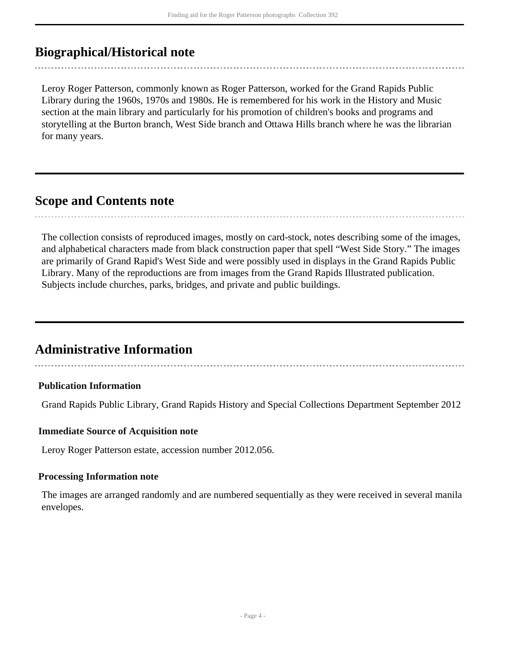## <span id="page-3-0"></span>**Biographical/Historical note**

Leroy Roger Patterson, commonly known as Roger Patterson, worked for the Grand Rapids Public Library during the 1960s, 1970s and 1980s. He is remembered for his work in the History and Music section at the main library and particularly for his promotion of children's books and programs and storytelling at the Burton branch, West Side branch and Ottawa Hills branch where he was the librarian for many years.

## <span id="page-3-1"></span>**Scope and Contents note**

The collection consists of reproduced images, mostly on card-stock, notes describing some of the images, and alphabetical characters made from black construction paper that spell "West Side Story." The images are primarily of Grand Rapid's West Side and were possibly used in displays in the Grand Rapids Public Library. Many of the reproductions are from images from the Grand Rapids Illustrated publication. Subjects include churches, parks, bridges, and private and public buildings.

## <span id="page-3-2"></span>**Administrative Information**

### **Publication Information**

Grand Rapids Public Library, Grand Rapids History and Special Collections Department September 2012

### **Immediate Source of Acquisition note**

Leroy Roger Patterson estate, accession number 2012.056.

#### **Processing Information note**

The images are arranged randomly and are numbered sequentially as they were received in several manila envelopes.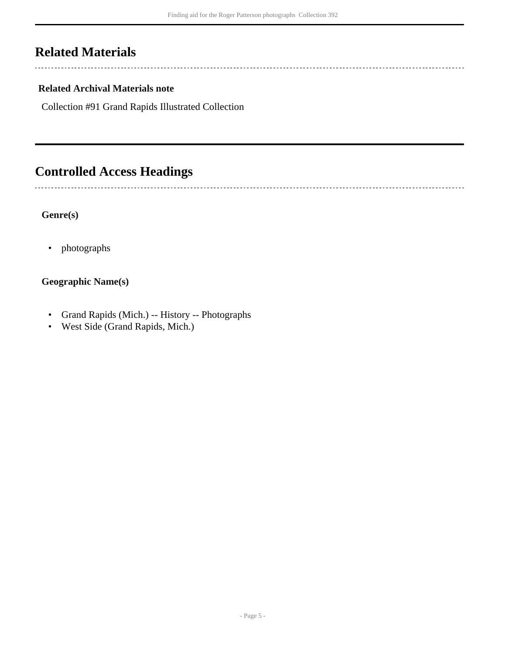## <span id="page-4-0"></span>**Related Materials**

 $\overline{a}$ 

 $\sim$ 

### **Related Archival Materials note**

Collection #91 Grand Rapids Illustrated Collection

# <span id="page-4-1"></span>**Controlled Access Headings**

### **Genre(s)**

• photographs

### **Geographic Name(s)**

- Grand Rapids (Mich.) -- History -- Photographs
- West Side (Grand Rapids, Mich.)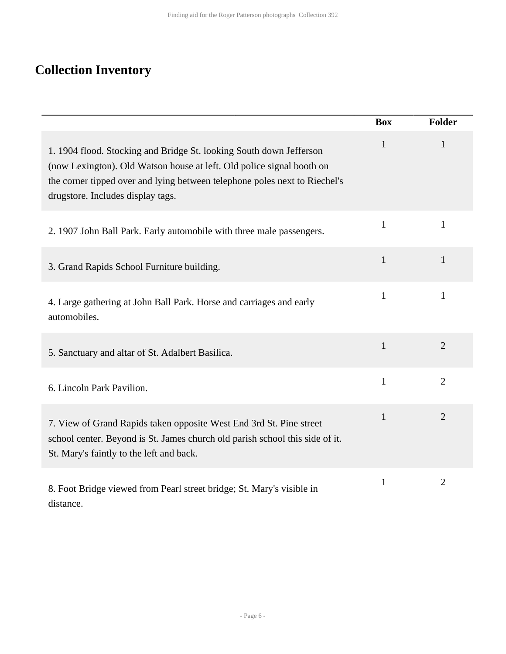# <span id="page-5-0"></span>**Collection Inventory**

|                                                                                                                                                                                                                                                                 | <b>Box</b>   | <b>Folder</b>  |
|-----------------------------------------------------------------------------------------------------------------------------------------------------------------------------------------------------------------------------------------------------------------|--------------|----------------|
| 1. 1904 flood. Stocking and Bridge St. looking South down Jefferson<br>(now Lexington). Old Watson house at left. Old police signal booth on<br>the corner tipped over and lying between telephone poles next to Riechel's<br>drugstore. Includes display tags. | $\mathbf{1}$ | $\mathbf{1}$   |
| 2. 1907 John Ball Park. Early automobile with three male passengers.                                                                                                                                                                                            | $\mathbf{1}$ | 1              |
| 3. Grand Rapids School Furniture building.                                                                                                                                                                                                                      | $\mathbf{1}$ | $\mathbf{1}$   |
| 4. Large gathering at John Ball Park. Horse and carriages and early<br>automobiles.                                                                                                                                                                             | $\mathbf{1}$ | $\mathbf{1}$   |
| 5. Sanctuary and altar of St. Adalbert Basilica.                                                                                                                                                                                                                | $\mathbf{1}$ | $\overline{2}$ |
| 6. Lincoln Park Pavilion.                                                                                                                                                                                                                                       | $\mathbf{1}$ | $\overline{2}$ |
| 7. View of Grand Rapids taken opposite West End 3rd St. Pine street<br>school center. Beyond is St. James church old parish school this side of it.<br>St. Mary's faintly to the left and back.                                                                 | $\mathbf{1}$ | $\overline{2}$ |
| 8. Foot Bridge viewed from Pearl street bridge; St. Mary's visible in<br>distance.                                                                                                                                                                              | $\mathbf{1}$ | $\overline{2}$ |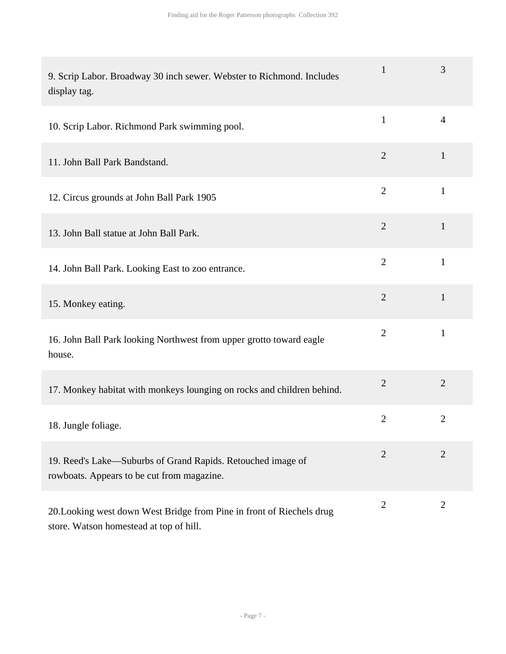| 9. Scrip Labor. Broadway 30 inch sewer. Webster to Richmond. Includes<br>display tag.                            | $\mathbf{1}$   | 3              |
|------------------------------------------------------------------------------------------------------------------|----------------|----------------|
| 10. Scrip Labor. Richmond Park swimming pool.                                                                    | $\mathbf{1}$   | $\overline{4}$ |
| 11. John Ball Park Bandstand.                                                                                    | $\overline{2}$ | $\mathbf{1}$   |
| 12. Circus grounds at John Ball Park 1905                                                                        | $\overline{2}$ | $\mathbf{1}$   |
| 13. John Ball statue at John Ball Park.                                                                          | $\overline{2}$ | $\mathbf{1}$   |
| 14. John Ball Park. Looking East to zoo entrance.                                                                | $\overline{2}$ | $\mathbf{1}$   |
| 15. Monkey eating.                                                                                               | $\overline{2}$ | $\mathbf{1}$   |
| 16. John Ball Park looking Northwest from upper grotto toward eagle<br>house.                                    | $\overline{2}$ | $\mathbf{1}$   |
| 17. Monkey habitat with monkeys lounging on rocks and children behind.                                           | $\overline{2}$ | $\overline{2}$ |
| 18. Jungle foliage.                                                                                              | $\overline{2}$ | $\overline{2}$ |
| 19. Reed's Lake—Suburbs of Grand Rapids. Retouched image of<br>rowboats. Appears to be cut from magazine.        | $\overline{2}$ | $\overline{2}$ |
| 20. Looking west down West Bridge from Pine in front of Riechels drug<br>store. Watson homestead at top of hill. | $\overline{2}$ | $\overline{2}$ |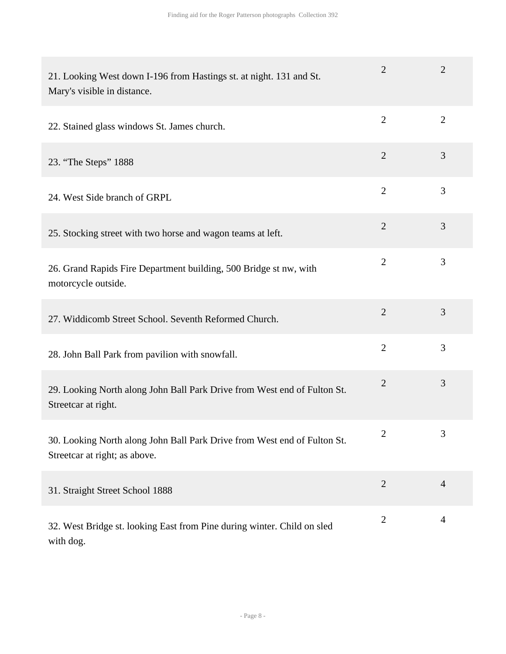| 21. Looking West down I-196 from Hastings st. at night. 131 and St.<br>Mary's visible in distance.        | $\overline{2}$ | $\overline{2}$ |
|-----------------------------------------------------------------------------------------------------------|----------------|----------------|
| 22. Stained glass windows St. James church.                                                               | $\overline{2}$ | $\overline{2}$ |
| 23. "The Steps" 1888                                                                                      | $\overline{2}$ | 3              |
| 24. West Side branch of GRPL                                                                              | $\overline{2}$ | 3              |
| 25. Stocking street with two horse and wagon teams at left.                                               | $\overline{2}$ | 3              |
| 26. Grand Rapids Fire Department building, 500 Bridge st nw, with<br>motorcycle outside.                  | $\overline{2}$ | 3              |
| 27. Widdicomb Street School. Seventh Reformed Church.                                                     | $\overline{2}$ | 3              |
| 28. John Ball Park from pavilion with snowfall.                                                           | $\overline{2}$ | 3              |
| 29. Looking North along John Ball Park Drive from West end of Fulton St.<br>Streetcar at right.           | $\mathbf{2}$   | 3              |
| 30. Looking North along John Ball Park Drive from West end of Fulton St.<br>Streetcar at right; as above. | 2              | $\mathfrak{I}$ |
| 31. Straight Street School 1888                                                                           | $\overline{2}$ | $\overline{4}$ |
| 32. West Bridge st. looking East from Pine during winter. Child on sled<br>with dog.                      | $\overline{2}$ | 4              |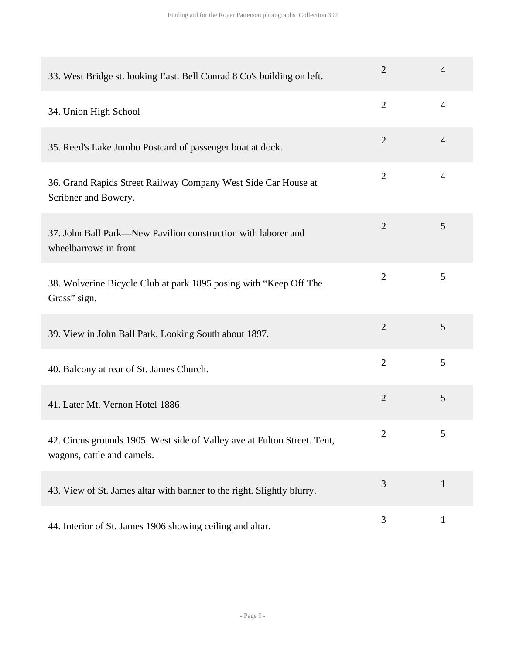| 33. West Bridge st. looking East. Bell Conrad 8 Co's building on left.                                 | $\overline{2}$ | $\overline{4}$ |
|--------------------------------------------------------------------------------------------------------|----------------|----------------|
| 34. Union High School                                                                                  | $\overline{2}$ | 4              |
| 35. Reed's Lake Jumbo Postcard of passenger boat at dock.                                              | $\overline{2}$ | $\overline{4}$ |
| 36. Grand Rapids Street Railway Company West Side Car House at<br>Scribner and Bowery.                 | $\overline{2}$ | 4              |
| 37. John Ball Park—New Pavilion construction with laborer and<br>wheelbarrows in front                 | $\overline{2}$ | 5              |
| 38. Wolverine Bicycle Club at park 1895 posing with "Keep Off The<br>Grass" sign.                      | $\overline{2}$ | 5              |
| 39. View in John Ball Park, Looking South about 1897.                                                  | $\overline{2}$ | 5              |
| 40. Balcony at rear of St. James Church.                                                               | $\overline{2}$ | 5              |
| 41. Later Mt. Vernon Hotel 1886                                                                        | $\overline{2}$ | 5              |
| 42. Circus grounds 1905. West side of Valley ave at Fulton Street. Tent,<br>wagons, cattle and camels. | 2              | C              |
| 43. View of St. James altar with banner to the right. Slightly blurry.                                 | 3              | $\mathbf{1}$   |
| 44. Interior of St. James 1906 showing ceiling and altar.                                              | 3              | $\mathbf{1}$   |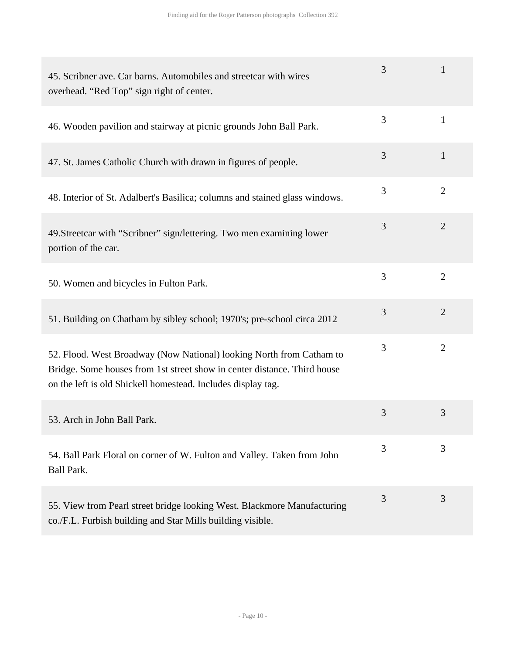| 45. Scribner ave. Car barns. Automobiles and street car with wires<br>overhead. "Red Top" sign right of center.                                                                                                  | 3 | 1              |
|------------------------------------------------------------------------------------------------------------------------------------------------------------------------------------------------------------------|---|----------------|
| 46. Wooden pavilion and stairway at picnic grounds John Ball Park.                                                                                                                                               | 3 | $\mathbf{1}$   |
| 47. St. James Catholic Church with drawn in figures of people.                                                                                                                                                   | 3 | $\mathbf{1}$   |
| 48. Interior of St. Adalbert's Basilica; columns and stained glass windows.                                                                                                                                      | 3 | $\overline{2}$ |
| 49. Streetcar with "Scribner" sign/lettering. Two men examining lower<br>portion of the car.                                                                                                                     | 3 | $\overline{2}$ |
| 50. Women and bicycles in Fulton Park.                                                                                                                                                                           | 3 | $\overline{2}$ |
| 51. Building on Chatham by sibley school; 1970's; pre-school circa 2012                                                                                                                                          | 3 | $\overline{2}$ |
| 52. Flood. West Broadway (Now National) looking North from Catham to<br>Bridge. Some houses from 1st street show in center distance. Third house<br>on the left is old Shickell homestead. Includes display tag. | 3 | $\overline{2}$ |
| 53. Arch in John Ball Park.                                                                                                                                                                                      | 3 | 3              |
| 54. Ball Park Floral on corner of W. Fulton and Valley. Taken from John<br><b>Ball Park.</b>                                                                                                                     | 3 | 3              |
| 55. View from Pearl street bridge looking West. Blackmore Manufacturing<br>co./F.L. Furbish building and Star Mills building visible.                                                                            | 3 | 3              |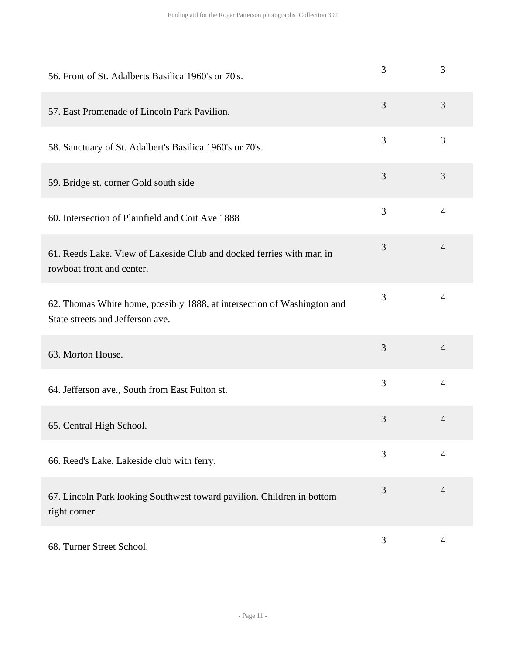| 56. Front of St. Adalberts Basilica 1960's or 70's.                                                         | 3 | 3              |
|-------------------------------------------------------------------------------------------------------------|---|----------------|
| 57. East Promenade of Lincoln Park Pavilion.                                                                | 3 | 3              |
| 58. Sanctuary of St. Adalbert's Basilica 1960's or 70's.                                                    | 3 | 3              |
| 59. Bridge st. corner Gold south side                                                                       | 3 | $\overline{3}$ |
| 60. Intersection of Plainfield and Coit Ave 1888                                                            | 3 | $\overline{4}$ |
| 61. Reeds Lake. View of Lakeside Club and docked ferries with man in<br>rowboat front and center.           | 3 | $\overline{4}$ |
| 62. Thomas White home, possibly 1888, at intersection of Washington and<br>State streets and Jefferson ave. | 3 | $\overline{4}$ |
| 63. Morton House.                                                                                           | 3 | $\overline{4}$ |
| 64. Jefferson ave., South from East Fulton st.                                                              | 3 | $\overline{4}$ |
| 65. Central High School.                                                                                    | 3 | $\overline{4}$ |
| 66. Reed's Lake. Lakeside club with ferry.                                                                  | 3 | $\overline{4}$ |
| 67. Lincoln Park looking Southwest toward pavilion. Children in bottom<br>right corner.                     | 3 | $\overline{4}$ |
| 68. Turner Street School.                                                                                   | 3 | $\overline{4}$ |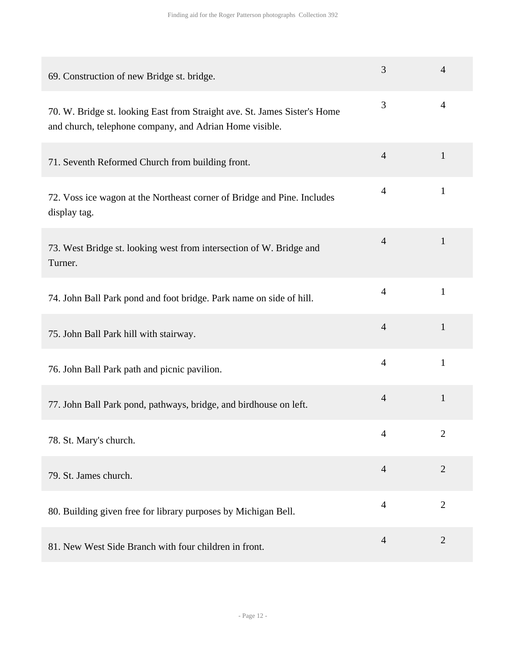| 69. Construction of new Bridge st. bridge.                                                                                           | 3              | $\overline{4}$ |
|--------------------------------------------------------------------------------------------------------------------------------------|----------------|----------------|
| 70. W. Bridge st. looking East from Straight ave. St. James Sister's Home<br>and church, telephone company, and Adrian Home visible. | 3              | 4              |
| 71. Seventh Reformed Church from building front.                                                                                     | $\overline{4}$ | $\mathbf{1}$   |
| 72. Voss ice wagon at the Northeast corner of Bridge and Pine. Includes<br>display tag.                                              | $\overline{4}$ | $\mathbf{1}$   |
| 73. West Bridge st. looking west from intersection of W. Bridge and<br>Turner.                                                       | $\overline{4}$ | $\mathbf{1}$   |
| 74. John Ball Park pond and foot bridge. Park name on side of hill.                                                                  | $\overline{4}$ | $\mathbf{1}$   |
| 75. John Ball Park hill with stairway.                                                                                               | $\overline{4}$ | $\mathbf{1}$   |
| 76. John Ball Park path and picnic pavilion.                                                                                         | $\overline{4}$ | $\mathbf{1}$   |
| 77. John Ball Park pond, pathways, bridge, and birdhouse on left.                                                                    | $\overline{4}$ | $\mathbf{1}$   |
| 78. St. Mary's church.                                                                                                               | 4              | $\overline{2}$ |
| 79. St. James church.                                                                                                                | $\overline{4}$ | $\overline{2}$ |
| 80. Building given free for library purposes by Michigan Bell.                                                                       | $\overline{4}$ | $\overline{2}$ |
| 81. New West Side Branch with four children in front.                                                                                | $\overline{4}$ | $\overline{2}$ |